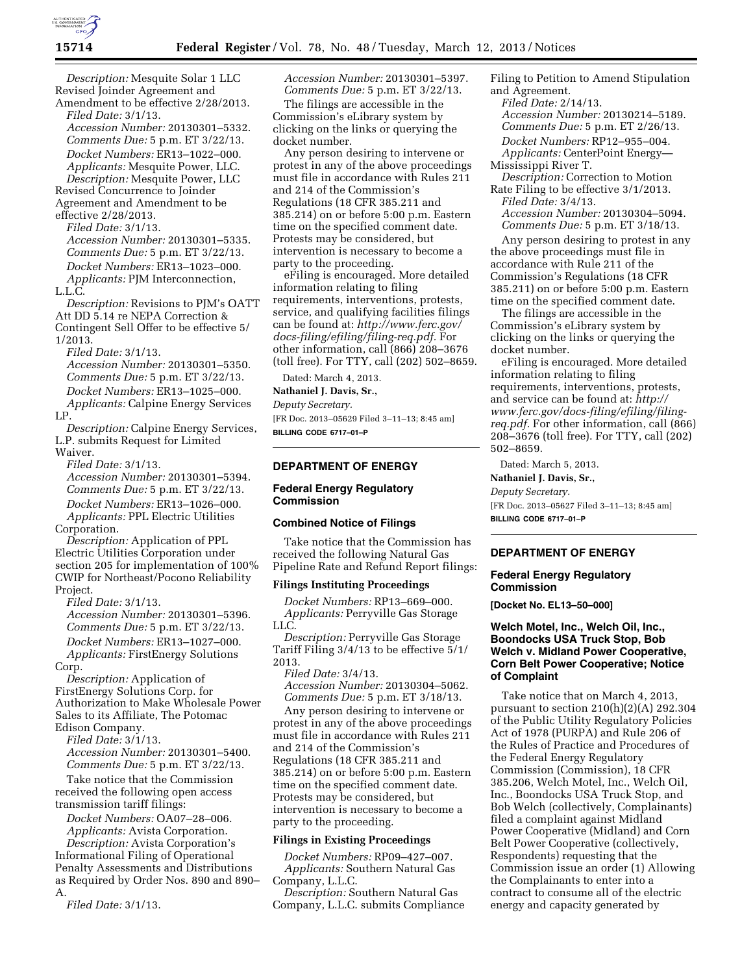

*Description:* Mesquite Solar 1 LLC Revised Joinder Agreement and Amendment to be effective 2/28/2013.

*Filed Date:* 3/1/13. *Accession Number:* 20130301–5332. *Comments Due:* 5 p.m. ET 3/22/13. *Docket Numbers:* ER13–1022–000. *Applicants:* Mesquite Power, LLC. *Description:* Mesquite Power, LLC Revised Concurrence to Joinder

Agreement and Amendment to be effective 2/28/2013.

*Filed Date:* 3/1/13.

*Accession Number:* 20130301–5335. *Comments Due:* 5 p.m. ET 3/22/13. *Docket Numbers:* ER13–1023–000. *Applicants:* PJM Interconnection, L.L.C.

*Description:* Revisions to PJM's OATT Att DD 5.14 re NEPA Correction & Contingent Sell Offer to be effective 5/ 1/2013.

*Filed Date:* 3/1/13. *Accession Number:* 20130301–5350. *Comments Due:* 5 p.m. ET 3/22/13. *Docket Numbers:* ER13–1025–000. *Applicants:* Calpine Energy Services LP.

*Description:* Calpine Energy Services, L.P. submits Request for Limited Waiver.

*Filed Date:* 3/1/13.

*Accession Number:* 20130301–5394. *Comments Due:* 5 p.m. ET 3/22/13.

*Docket Numbers:* ER13–1026–000.

*Applicants:* PPL Electric Utilities Corporation.

*Description:* Application of PPL Electric Utilities Corporation under section 205 for implementation of 100% CWIP for Northeast/Pocono Reliability Project.

*Filed Date:* 3/1/13. *Accession Number:* 20130301–5396. *Comments Due:* 5 p.m. ET 3/22/13. *Docket Numbers:* ER13–1027–000.

*Applicants:* FirstEnergy Solutions Corp.

*Description:* Application of FirstEnergy Solutions Corp. for Authorization to Make Wholesale Power Sales to its Affiliate, The Potomac Edison Company.

*Filed Date:* 3/1/13.

*Accession Number:* 20130301–5400. *Comments Due:* 5 p.m. ET 3/22/13.

Take notice that the Commission received the following open access transmission tariff filings:

*Docket Numbers:* OA07–28–006.

*Applicants:* Avista Corporation. *Description:* Avista Corporation's Informational Filing of Operational Penalty Assessments and Distributions as Required by Order Nos. 890 and 890– A.

*Filed Date:* 3/1/13.

*Accession Number:* 20130301–5397. *Comments Due:* 5 p.m. ET 3/22/13.

The filings are accessible in the Commission's eLibrary system by clicking on the links or querying the docket number.

Any person desiring to intervene or protest in any of the above proceedings must file in accordance with Rules 211 and 214 of the Commission's Regulations (18 CFR 385.211 and 385.214) on or before 5:00 p.m. Eastern time on the specified comment date. Protests may be considered, but intervention is necessary to become a party to the proceeding.

eFiling is encouraged. More detailed information relating to filing requirements, interventions, protests, service, and qualifying facilities filings can be found at: *[http://www.ferc.gov/](http://www.ferc.gov/docs-filing/efiling/filing-req.pdf)  [docs-filing/efiling/filing-req.pdf.](http://www.ferc.gov/docs-filing/efiling/filing-req.pdf)* For other information, call (866) 208–3676 (toll free). For TTY, call (202) 502–8659.

Dated: March 4, 2013.

**Nathaniel J. Davis, Sr.,** 

*Deputy Secretary.* 

[FR Doc. 2013–05629 Filed 3–11–13; 8:45 am] **BILLING CODE 6717–01–P** 

#### **DEPARTMENT OF ENERGY**

## **Federal Energy Regulatory Commission**

## **Combined Notice of Filings**

Take notice that the Commission has received the following Natural Gas Pipeline Rate and Refund Report filings:

#### **Filings Instituting Proceedings**

*Docket Numbers:* RP13–669–000. *Applicants:* Perryville Gas Storage LLC.

*Description:* Perryville Gas Storage Tariff Filing 3/4/13 to be effective 5/1/ 2013.

*Filed Date:* 3/4/13. *Accession Number:* 20130304–5062. *Comments Due:* 5 p.m. ET 3/18/13.

Any person desiring to intervene or protest in any of the above proceedings must file in accordance with Rules 211 and 214 of the Commission's Regulations (18 CFR 385.211 and 385.214) on or before 5:00 p.m. Eastern time on the specified comment date. Protests may be considered, but intervention is necessary to become a party to the proceeding.

## **Filings in Existing Proceedings**

*Docket Numbers:* RP09–427–007. *Applicants:* Southern Natural Gas Company, L.L.C.

*Description:* Southern Natural Gas Company, L.L.C. submits Compliance Filing to Petition to Amend Stipulation and Agreement.

*Filed Date:* 2/14/13.

*Accession Number:* 20130214–5189.

*Comments Due:* 5 p.m. ET 2/26/13. *Docket Numbers:* RP12–955–004.

*Applicants:* CenterPoint Energy— Mississippi River T.

*Description:* Correction to Motion

Rate Filing to be effective 3/1/2013. *Filed Date:* 3/4/13.

*Accession Number:* 20130304–5094. *Comments Due:* 5 p.m. ET 3/18/13.

Any person desiring to protest in any the above proceedings must file in accordance with Rule 211 of the Commission's Regulations (18 CFR 385.211) on or before 5:00 p.m. Eastern time on the specified comment date.

The filings are accessible in the Commission's eLibrary system by clicking on the links or querying the docket number.

eFiling is encouraged. More detailed information relating to filing requirements, interventions, protests, and service can be found at: *[http://](http://www.ferc.gov/docs-filing/efiling/filing-req.pdf) [www.ferc.gov/docs-filing/efiling/filing](http://www.ferc.gov/docs-filing/efiling/filing-req.pdf)[req.pdf.](http://www.ferc.gov/docs-filing/efiling/filing-req.pdf)* For other information, call (866) 208–3676 (toll free). For TTY, call (202) 502–8659.

Dated: March 5, 2013.

**Nathaniel J. Davis, Sr.,** 

*Deputy Secretary.*  [FR Doc. 2013–05627 Filed 3–11–13; 8:45 am] **BILLING CODE 6717–01–P** 

# **DEPARTMENT OF ENERGY**

# **Federal Energy Regulatory Commission**

**[Docket No. EL13–50–000]** 

# **Welch Motel, Inc., Welch Oil, Inc., Boondocks USA Truck Stop, Bob Welch v. Midland Power Cooperative, Corn Belt Power Cooperative; Notice of Complaint**

Take notice that on March 4, 2013, pursuant to section 210(h)(2)(A) 292.304 of the Public Utility Regulatory Policies Act of 1978 (PURPA) and Rule 206 of the Rules of Practice and Procedures of the Federal Energy Regulatory Commission (Commission), 18 CFR 385.206, Welch Motel, Inc., Welch Oil, Inc., Boondocks USA Truck Stop, and Bob Welch (collectively, Complainants) filed a complaint against Midland Power Cooperative (Midland) and Corn Belt Power Cooperative (collectively, Respondents) requesting that the Commission issue an order (1) Allowing the Complainants to enter into a contract to consume all of the electric energy and capacity generated by